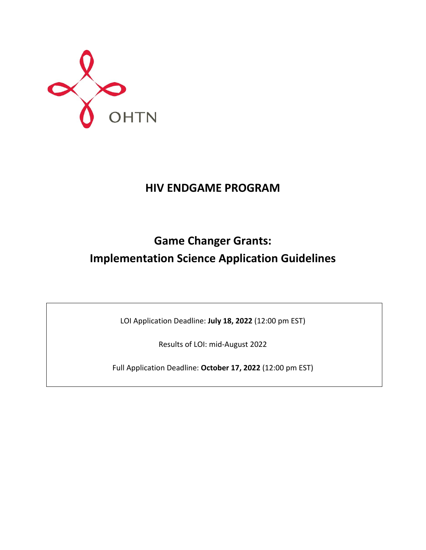

# **HIV ENDGAME PROGRAM**

# **Game Changer Grants: Implementation Science Application Guidelines**

LOI Application Deadline: **July 18, 2022** (12:00 pm EST)

Results of LOI: mid-August 2022

Full Application Deadline: **October 17, 2022** (12:00 pm EST)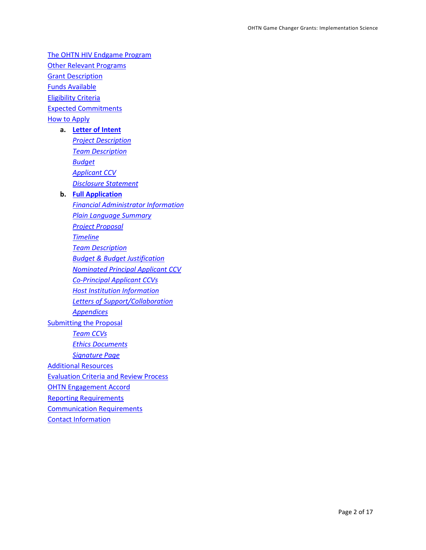[The OHTN HIV Endgame Program](#page-2-0) [Other Relevant Programs](#page-3-0) **Grant [Description](#page-3-1)** [Funds Available](#page-4-0) [Eligibility Criteria](#page-4-1) [Expected Commitments](#page-5-0) [How to Apply](#page-5-1)

#### **a. [Letter of Intent](#page-5-2)**

*[Project Description](#page-5-3) Team [Description](#page-6-0) [Budget](#page-6-1) [Applicant](#page-7-0) CCV [Disclosure Statement](#page-7-1)*

## **b. [Full Application](#page-7-2)**

*[Financial Administrator Information](#page-8-0) [Plain Language Summary](#page-8-1) [Project Proposal](#page-8-2) [Timeline](#page-9-0) [Team Description](#page-9-1) [Budget & Budget Justification](#page-9-2) [Nominated Principal Applicant CCV](#page-10-0) [Co-Principal Applicant](#page-10-1) CCVs [Host Institution Information](#page-10-2) [Letters of Support/Collaboration](#page-10-3) [Appendices](#page-10-4)* **[Submitting the Proposal](#page-11-0)** *[Team CCVs](#page-11-1) [Ethics Documents](#page-11-2) [Signature Page](#page-11-3)* [Additional Resources](#page-12-0) [Evaluation Criteria and Review Process](#page-13-0) [OHTN Engagement Accord](#page-14-0) [Reporting Requirements](#page-14-1) [Communication Requirements](#page-15-0)

[Contact Information](#page-16-0)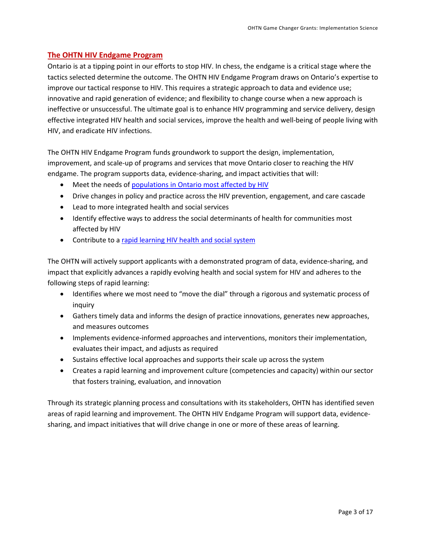## <span id="page-2-0"></span>**The OHTN HIV Endgame Program**

Ontario is at a tipping point in our efforts to stop HIV. In chess, the endgame is a critical stage where the tactics selected determine the outcome. The OHTN HIV Endgame Program draws on Ontario's expertise to improve our tactical response to HIV. This requires a strategic approach to data and evidence use; innovative and rapid generation of evidence; and flexibility to change course when a new approach is ineffective or unsuccessful. The ultimate goal is to enhance HIV programming and service delivery, design effective integrated HIV health and social services, improve the health and well-being of people living with HIV, and eradicate HIV infections.

The OHTN HIV Endgame Program funds groundwork to support the design, implementation, improvement, and scale-up of programs and services that move Ontario closer to reaching the HIV endgame. The program supports data, evidence-sharing, and impact activities that will:

- Meet the needs of [populations in Ontario most affected by HIV](#page-3-2)
- Drive changes in policy and practice across the HIV prevention, engagement, and care cascade
- Lead to more integrated health and social services
- Identify effective ways to address the social determinants of health for communities most affected by HIV
- Contribute to a [rapid learning HIV health and social system](http://www.ohtn.on.ca/about/rapid-learning/)

The OHTN will actively support applicants with a demonstrated program of data, evidence-sharing, and impact that explicitly advances a rapidly evolving health and social system for HIV and adheres to the following steps of rapid learning:

- Identifies where we most need to "move the dial" through a rigorous and systematic process of inquiry
- Gathers timely data and informs the design of practice innovations, generates new approaches, and measures outcomes
- Implements evidence-informed approaches and interventions, monitors their implementation, evaluates their impact, and adjusts as required
- Sustains effective local approaches and supports their scale up across the system
- Creates a rapid learning and improvement culture (competencies and capacity) within our sector that fosters training, evaluation, and innovation

Through its strategic planning process and consultations with its stakeholders, OHTN has identified seven areas of rapid learning and improvement. The OHTN HIV Endgame Program will support data, evidencesharing, and impact initiatives that will drive change in one or more of these areas of learning.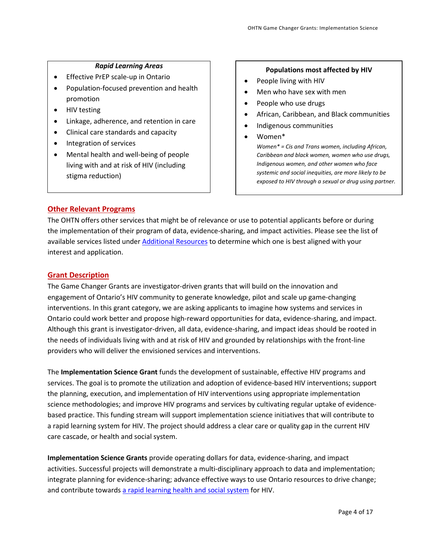## *Rapid Learning Areas*

- <span id="page-3-3"></span>• Effective PrEP scale-up in Ontario
- Population-focused prevention and health promotion
- HIV testing
- Linkage, adherence, and retention in care
- Clinical care standards and capacity
- Integration of services
- Mental health and well-being of people living with and at risk of HIV (including stigma reduction)

## **Populations most affected by HIV**

- <span id="page-3-2"></span>• People living with HIV
- Men who have sex with men
- People who use drugs
- African, Caribbean, and Black communities
- Indigenous communities
- Women\* *Women\* = Cis and Trans women, including African,*

*Caribbean and black women, women who use drugs, Indigenous women, and other women who face systemic and social inequities, are more likely to be exposed to HIV through a sexual or drug using partner.*

## <span id="page-3-0"></span>**Other Relevant Programs**

The OHTN offers other services that might be of relevance or use to potential applicants before or during the implementation of their program of data, evidence-sharing, and impact activities. Please see the list of available services listed under [Additional Resources](#page-12-0) to determine which one is best aligned with your interest and application.

## <span id="page-3-1"></span>**Grant Description**

The Game Changer Grants are investigator-driven grants that will build on the innovation and engagement of Ontario's HIV community to generate knowledge, pilot and scale up game-changing interventions. In this grant category, we are asking applicants to imagine how systems and services in Ontario could work better and propose high-reward opportunities for data, evidence-sharing, and impact. Although this grant is investigator-driven, all data, evidence-sharing, and impact ideas should be rooted in the needs of individuals living with and at risk of HIV and grounded by relationships with the front-line providers who will deliver the envisioned services and interventions.

The **Implementation Science Grant** funds the development of sustainable, effective HIV programs and services. The goal is to promote the utilization and adoption of evidence-based HIV interventions; support the planning, execution, and implementation of HIV interventions using appropriate implementation science methodologies; and improve HIV programs and services by cultivating regular uptake of evidencebased practice. This funding stream will support implementation science initiatives that will contribute to a rapid learning system for HIV. The project should address a clear care or quality gap in the current HIV care cascade, or health and social system.

**Implementation Science Grants** provide operating dollars for data, evidence-sharing, and impact activities. Successful projects will demonstrate a multi-disciplinary approach to data and implementation; integrate planning for evidence-sharing; advance effective ways to use Ontario resources to drive change; and contribute towards [a rapid learning health and social system](http://www.ohtn.on.ca/about/rapid-learning/) for HIV.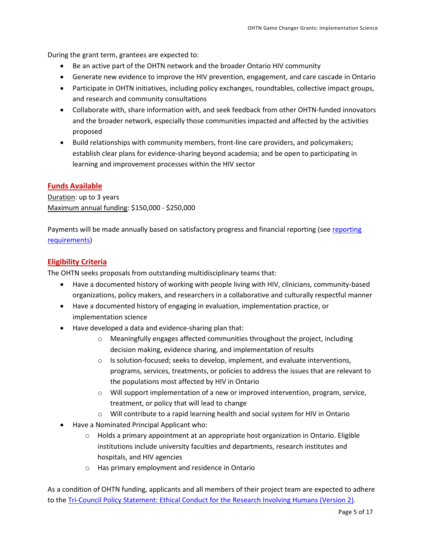During the grant term, grantees are expected to:

- Be an active part of the OHTN network and the broader Ontario HIV community
- Generate new evidence to improve the HIV prevention, engagement, and care cascade in Ontario
- Participate in OHTN initiatives, including policy exchanges, roundtables, collective impact groups, and research and community consultations
- Collaborate with, share information with, and seek feedback from other OHTN-funded innovators and the broader network, especially those communities impacted and affected by the activities proposed
- Build relationships with community members, front-line care providers, and policymakers; establish clear plans for evidence-sharing beyond academia; and be open to participating in learning and improvement processes within the HIV sector

## <span id="page-4-0"></span>**Funds Available**

Duration: up to 3 years Maximum annual funding: \$150,000 - \$250,000

Payments will be made annually based on satisfactory progress and financial [reporting](#page-14-1) (see reporting [requirements\)](#page-14-1)

## <span id="page-4-1"></span>**Eligibility Criteria**

The OHTN seeks proposals from outstanding multidisciplinary teams that:

- Have a documented history of working with people living with HIV, clinicians, community-based organizations, policy makers, and researchers in a collaborative and culturally respectful manner
- Have a documented history of engaging in evaluation, implementation practice, or implementation science
- Have developed a data and evidence-sharing plan that:
	- o Meaningfully engages affected communities throughout the project, including decision making, evidence sharing, and implementation of results
	- $\circ$  Is solution-focused; seeks to develop, implement, and evaluate interventions, programs, services, treatments, or policies to address the issues that are relevant to the populations most affected by HIV in Ontario
	- $\circ$  Will support implementation of a new or improved intervention, program, service, treatment, or policy that will lead to change
	- o Will contribute to a rapid learning health and social system for HIV in Ontario
- Have a Nominated Principal Applicant who:
	- $\circ$  Holds a primary appointment at an appropriate host organization in Ontario. Eligible institutions include university faculties and departments, research institutes and hospitals, and HIV agencies
	- o Has primary employment and residence in Ontario

As a condition of OHTN funding, applicants and all members of their project team are expected to adhere to the [Tri-Council Policy Statement: Ethical Conduct for the Research Involving Humans \(Version 2\).](http://www.pre.ethics.gc.ca/eng/policy-politique_tcps2-eptc2_2018.html)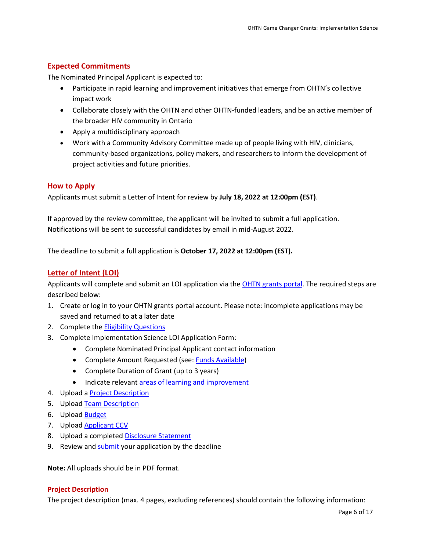## <span id="page-5-0"></span>**Expected Commitments**

The Nominated Principal Applicant is expected to:

- Participate in rapid learning and improvement initiatives that emerge from OHTN's collective impact work
- Collaborate closely with the OHTN and other OHTN-funded leaders, and be an active member of the broader HIV community in Ontario
- Apply a multidisciplinary approach
- Work with a Community Advisory Committee made up of people living with HIV, clinicians, community-based organizations, policy makers, and researchers to inform the development of project activities and future priorities.

## <span id="page-5-1"></span>**How to Apply**

Applicants must submit a Letter of Intent for review by **July 18, 2022 at 12:00pm (EST)**.

If approved by the review committee, the applicant will be invited to submit a full application. Notifications will be sent to successful candidates by email in mid-August 2022.

The deadline to submit a full application is **October 17, 2022 at 12:00pm (EST).** 

## <span id="page-5-2"></span>**Letter of Intent (LOI)**

Applicants will complete and submit an LOI application via the [OHTN grants portal.](https://apply-ohtn-on.smapply.io/) The required steps are described below:

- 1. Create or log in to your OHTN grants portal account. Please note: incomplete applications may be saved and returned to at a later date
- 2. Complete th[e Eligibility Questions](#page-4-1)
- 3. Complete Implementation Science LOI Application Form:
	- Complete Nominated Principal Applicant contact information
	- Complete Amount Requested (see: [Funds Available\)](#page-4-0)
	- Complete Duration of Grant (up to 3 years)
	- Indicate relevant [areas of learning and improvement](#page-3-3)
- 4. Upload a [Project Description](#page-5-3)
- 5. Upload [Team Description](#page-6-0)
- 6. Upload **Budget**
- 7. Upload [Applicant CCV](#page-7-0)
- 8. Upload a completed [Disclosure Statement](#page-7-1)
- 9. Review an[d submit](#page-11-0) your application by the deadline

**Note:** All uploads should be in PDF format.

#### <span id="page-5-3"></span>**Project Description**

The project description (max. 4 pages, excluding references) should contain the following information: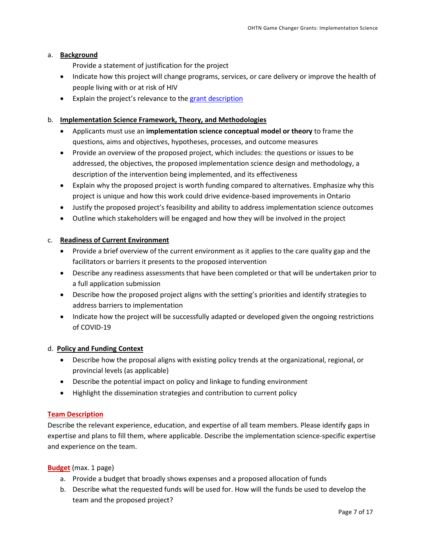#### a. **Background**

- Provide a statement of justification for the project
- Indicate how this project will change programs, services, or care delivery or improve the health of people living with or at risk of HIV
- Explain the project's relevance to the grant [description](#page-3-1)

## b. **Implementation Science Framework, Theory, and Methodologies**

- Applicants must use an **implementation science conceptual model or theory** to frame the questions, aims and objectives, hypotheses, processes, and outcome measures
- Provide an overview of the proposed project, which includes: the questions or issues to be addressed, the objectives, the proposed implementation science design and methodology, a description of the intervention being implemented, and its effectiveness
- Explain why the proposed project is worth funding compared to alternatives. Emphasize why this project is unique and how this work could drive evidence-based improvements in Ontario
- Justify the proposed project's feasibility and ability to address implementation science outcomes
- Outline which stakeholders will be engaged and how they will be involved in the project

## c. **Readiness of Current Environment**

- Provide a brief overview of the current environment as it applies to the care quality gap and the facilitators or barriers it presents to the proposed intervention
- Describe any readiness assessments that have been completed or that will be undertaken prior to a full application submission
- Describe how the proposed project aligns with the setting's priorities and identify strategies to address barriers to implementation
- Indicate how the project will be successfully adapted or developed given the ongoing restrictions of COVID-19

#### d. **Policy and Funding Context**

- Describe how the proposal aligns with existing policy trends at the organizational, regional, or provincial levels (as applicable)
- Describe the potential impact on policy and linkage to funding environment
- Highlight the dissemination strategies and contribution to current policy

## <span id="page-6-0"></span>**Team Description**

Describe the relevant experience, education, and expertise of all team members. Please identify gaps in expertise and plans to fill them, where applicable. Describe the implementation science-specific expertise and experience on the team.

#### <span id="page-6-1"></span>**Budget** (max. 1 page)

- a. Provide a budget that broadly shows expenses and a proposed allocation of funds
- b. Describe what the requested funds will be used for. How will the funds be used to develop the team and the proposed project?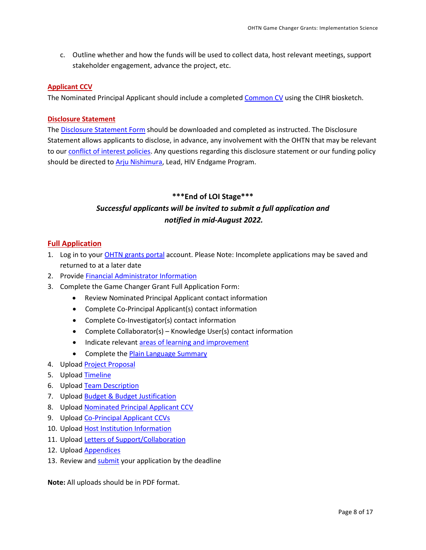c. Outline whether and how the funds will be used to collect data, host relevant meetings, support stakeholder engagement, advance the project, etc.

## <span id="page-7-0"></span>**Applicant CCV**

The Nominated Principal Applicant should include a complete[d Common CV](https://ccv-cvc.ca/indexresearcher-eng.frm) using the CIHR biosketch.

## <span id="page-7-1"></span>**Disclosure Statement**

Th[e Disclosure Statement Form](https://apply-ohtn-on.smapply.io/protected/resource/eyJoZnJlIjogOTkyMzg1MzAsICJ2cSI6IDE3Mzc3Nn0/) should be downloaded and completed as instructed. The Disclosure Statement allows applicants to disclose, in advance, any involvement with the OHTN that may be relevant to our [conflict of interest policies.](http://www.ohtn.on.ca/policies-and-guidelines/conflict-of-interest-policy/) Any questions regarding this disclosure statement or our funding policy should be directed to [Arju Nishimura,](mailto:anishimura@ohtn.on.ca) Lead, HIV Endgame Program.

# **\*\*\*End of LOI Stage\*\*\*** *Successful applicants will be invited to submit a full application and notified in mid-August 2022.*

## <span id="page-7-2"></span>**Full Application**

- 1. Log in to your **OHTN** grants portal account. Please Note: Incomplete applications may be saved and returned to at a later date
- 2. Provide [Financial Administrator Information](#page-8-0)
- 3. Complete the Game Changer Grant Full Application Form:
	- Review Nominated Principal Applicant contact information
	- Complete Co-Principal Applicant(s) contact information
	- Complete Co-Investigator(s) contact information
	- Complete Collaborator(s) Knowledge User(s) contact information
	- Indicate relevant [areas of learning and improvement](#page-3-3)
	- Complete th[e Plain Language Summary](#page-8-1)
- 4. Upload [Project Proposal](#page-8-2)
- 5. Upload [Timeline](#page-9-0)
- 6. Upload [Team Description](#page-9-1)
- 7. Upload [Budget & Budget Justification](#page-9-2)
- 8. Upload **Nominated Principal Applicant CCV**
- 9. Upload [Co-Principal Applicant](#page-10-1) CCVs
- 10. Upload [Host Institution Information](#page-10-2)
- 11. Upload [Letters of Support/Collaboration](#page-10-3)
- 12. Upload [Appendices](#page-10-4)
- 13. Review an[d submit](#page-11-0) your application by the deadline

**Note:** All uploads should be in PDF format.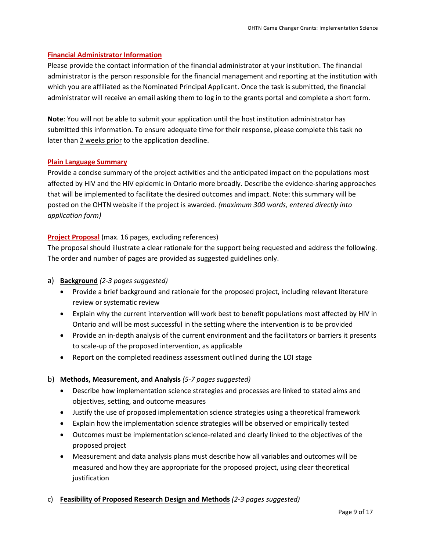## <span id="page-8-0"></span>**Financial Administrator Information**

Please provide the contact information of the financial administrator at your institution. The financial administrator is the person responsible for the financial management and reporting at the institution with which you are affiliated as the Nominated Principal Applicant. Once the task is submitted, the financial administrator will receive an email asking them to log in to the grants portal and complete a short form.

**Note**: You will not be able to submit your application until the host institution administrator has submitted this information. To ensure adequate time for their response, please complete this task no later than 2 weeks prior to the application deadline.

#### <span id="page-8-1"></span>**Plain Language Summary**

Provide a concise summary of the project activities and the anticipated impact on the populations most affected by HIV and the HIV epidemic in Ontario more broadly. Describe the evidence-sharing approaches that will be implemented to facilitate the desired outcomes and impact. Note: this summary will be posted on the OHTN website if the project is awarded. *(maximum 300 words, entered directly into application form)*

## <span id="page-8-2"></span>**Project Proposal** (max. 16 pages, excluding references)

The proposal should illustrate a clear rationale for the support being requested and address the following. The order and number of pages are provided as suggested guidelines only.

## a) **Background** *(2-3 pages suggested)*

- Provide a brief background and rationale for the proposed project, including relevant literature review or systematic review
- Explain why the current intervention will work best to benefit populations most affected by HIV in Ontario and will be most successful in the setting where the intervention is to be provided
- Provide an in-depth analysis of the current environment and the facilitators or barriers it presents to scale-up of the proposed intervention, as applicable
- Report on the completed readiness assessment outlined during the LOI stage

#### b) **Methods, Measurement, and Analysis** *(5-7 pages suggested)*

- Describe how implementation science strategies and processes are linked to stated aims and objectives, setting, and outcome measures
- Justify the use of proposed implementation science strategies using a theoretical framework
- Explain how the implementation science strategies will be observed or empirically tested
- Outcomes must be implementation science-related and clearly linked to the objectives of the proposed project
- Measurement and data analysis plans must describe how all variables and outcomes will be measured and how they are appropriate for the proposed project, using clear theoretical justification

## c) **Feasibility of Proposed Research Design and Methods** *(2-3 pages suggested)*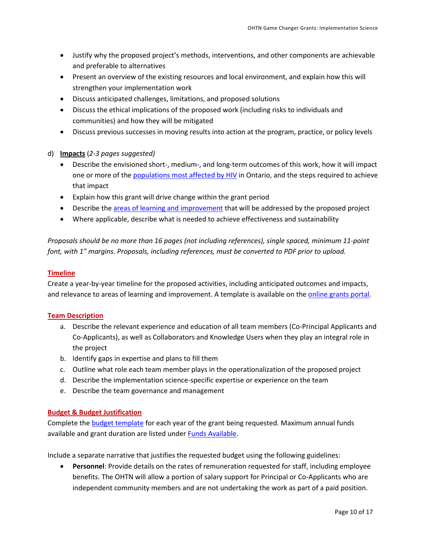- Justify why the proposed project's methods, interventions, and other components are achievable and preferable to alternatives
- Present an overview of the existing resources and local environment, and explain how this will strengthen your implementation work
- Discuss anticipated challenges, limitations, and proposed solutions
- Discuss the ethical implications of the proposed work (including risks to individuals and communities) and how they will be mitigated
- Discuss previous successes in moving results into action at the program, practice, or policy levels
- d) **Impacts** (*2-3 pages suggested)*
	- Describe the envisioned short-, medium-, and long-term outcomes of this work, how it will impact one or more of th[e populations most affected by HIV](#page-3-2) in Ontario, and the steps required to achieve that impact
	- Explain how this grant will drive change within the grant period
	- Describe the [areas of learning and improvement](#page-3-3) that will be addressed by the proposed project
	- Where applicable, describe what is needed to achieve effectiveness and sustainability

*Proposals should be no more than 16 pages (not including references), single spaced, minimum 11-point font, with 1" margins. Proposals, including references, must be converted to PDF prior to upload.*

#### <span id="page-9-0"></span>**Timeline**

Create a year-by-year timeline for the proposed activities, including anticipated outcomes and impacts, and relevance to areas of learning and improvement. A template is available on the [online grants portal.](https://apply-ohtn-on.smapply.io/)

#### <span id="page-9-1"></span>**Team Description**

- a. Describe the relevant experience and education of all team members (Co-Principal Applicants and Co-Applicants), as well as Collaborators and Knowledge Users when they play an integral role in the project
- b. Identify gaps in expertise and plans to fill them
- c. Outline what role each team member plays in the operationalization of the proposed project
- d. Describe the implementation science-specific expertise or experience on the team
- e. Describe the team governance and management

#### <span id="page-9-2"></span>**Budget & Budget Justification**

Complete the **budget template** for each year of the grant being requested. Maximum annual funds available and grant duration are listed under **Funds Available**.

Include a separate narrative that justifies the requested budget using the following guidelines:

• **Personnel**: Provide details on the rates of remuneration requested for staff, including employee benefits. The OHTN will allow a portion of salary support for Principal or Co-Applicants who are independent community members and are not undertaking the work as part of a paid position.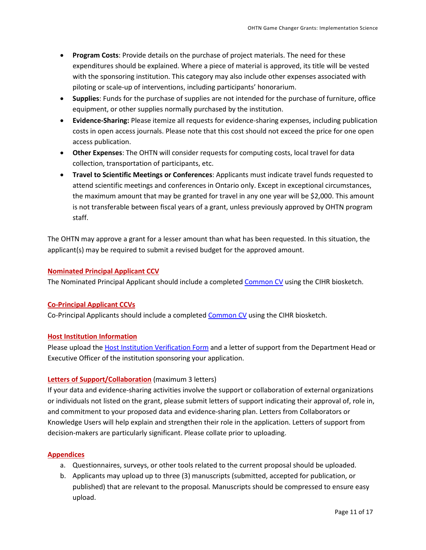- **Program Costs**: Provide details on the purchase of project materials. The need for these expenditures should be explained. Where a piece of material is approved, its title will be vested with the sponsoring institution. This category may also include other expenses associated with piloting or scale-up of interventions, including participants' honorarium.
- **Supplies**: Funds for the purchase of supplies are not intended for the purchase of furniture, office equipment, or other supplies normally purchased by the institution.
- **Evidence-Sharing:** Please itemize all requests for evidence-sharing expenses, including publication costs in open access journals. Please note that this cost should not exceed the price for one open access publication.
- **Other Expenses**: The OHTN will consider requests for computing costs, local travel for data collection, transportation of participants, etc.
- **Travel to Scientific Meetings or Conferences**: Applicants must indicate travel funds requested to attend scientific meetings and conferences in Ontario only. Except in exceptional circumstances, the maximum amount that may be granted for travel in any one year will be \$2,000. This amount is not transferable between fiscal years of a grant, unless previously approved by OHTN program staff.

The OHTN may approve a grant for a lesser amount than what has been requested. In this situation, the applicant(s) may be required to submit a revised budget for the approved amount.

## <span id="page-10-0"></span>**Nominated Principal Applicant CCV**

The Nominated Principal Applicant should include a complete[d Common CV](https://ccv-cvc.ca/indexresearcher-eng.frm) using the CIHR biosketch.

#### <span id="page-10-1"></span>**Co-Principal Applicant CCVs**

Co-Principal Applicants should include a completed [Common CV](https://ccv-cvc.ca/indexresearcher-eng.frm) using the CIHR biosketch.

#### <span id="page-10-2"></span>**Host Institution Information**

Please upload th[e Host Institution Verification Form](https://apply-ohtn-on.smapply.io/protected/resource/eyJoZnJlIjogOTkyMzg1MzAsICJ2cSI6IDE2MTg3N30/) and a letter of support from the Department Head or Executive Officer of the institution sponsoring your application.

#### <span id="page-10-3"></span>**Letters of Support/Collaboration** (maximum 3 letters)

If your data and evidence-sharing activities involve the support or collaboration of external organizations or individuals not listed on the grant, please submit letters of support indicating their approval of, role in, and commitment to your proposed data and evidence-sharing plan. Letters from Collaborators or Knowledge Users will help explain and strengthen their role in the application. Letters of support from decision-makers are particularly significant. Please collate prior to uploading.

#### <span id="page-10-4"></span>**Appendices**

- a. Questionnaires, surveys, or other tools related to the current proposal should be uploaded.
- b. Applicants may upload up to three (3) manuscripts (submitted, accepted for publication, or published) that are relevant to the proposal*.* Manuscripts should be compressed to ensure easy upload.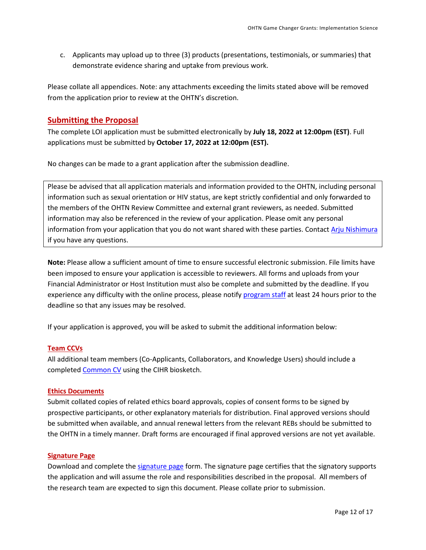c. Applicants may upload up to three (3) products (presentations, testimonials, or summaries) that demonstrate evidence sharing and uptake from previous work.

Please collate all appendices. Note: any attachments exceeding the limits stated above will be removed from the application prior to review at the OHTN's discretion.

## <span id="page-11-0"></span>**Submitting the Proposal**

The complete LOI application must be submitted electronically by **July 18, 2022 at 12:00pm (EST)**. Full applications must be submitted by **October 17, 2022 at 12:00pm (EST).**

No changes can be made to a grant application after the submission deadline.

Please be advised that all application materials and information provided to the OHTN, including personal information such as sexual orientation or HIV status, are kept strictly confidential and only forwarded to the members of the OHTN Review Committee and external grant reviewers, as needed. Submitted information may also be referenced in the review of your application. Please omit any personal information from your application that you do not want shared with these parties. Contact [Arju Nishimura](mailto:anishimura@ohtn.on.ca) if you have any questions.

**Note:** Please allow a sufficient amount of time to ensure successful electronic submission. File limits have been imposed to ensure your application is accessible to reviewers. All forms and uploads from your Financial Administrator or Host Institution must also be complete and submitted by the deadline. If you experience any difficulty with the online process, please notif[y program](mailto:funding@ohtn.on.ca?subject=Technical%20Issue%20with%20OHTN%20Online%20Application%20Portal) staff at least 24 hours prior to the deadline so that any issues may be resolved.

If your application is approved, you will be asked to submit the additional information below:

#### <span id="page-11-1"></span>**Team CCVs**

All additional team members (Co-Applicants, Collaborators, and Knowledge Users) should include a completed [Common CV](https://ccv-cvc.ca/indexresearcher-eng.frm) using the CIHR biosketch.

#### <span id="page-11-2"></span>**Ethics Documents**

Submit collated copies of related ethics board approvals, copies of consent forms to be signed by prospective participants, or other explanatory materials for distribution. Final approved versions should be submitted when available, and annual renewal letters from the relevant REBs should be submitted to the OHTN in a timely manner*.* Draft forms are encouraged if final approved versions are not yet available.

#### <span id="page-11-3"></span>**Signature Page**

Download and complete the [signature page](http://www.ohtn.on.ca/wp-content/uploads/2018/10/Signature_Page-2018.doc) form. The signature page certifies that the signatory supports the application and will assume the role and responsibilities described in the proposal. All members of the research team are expected to sign this document. Please collate prior to submission.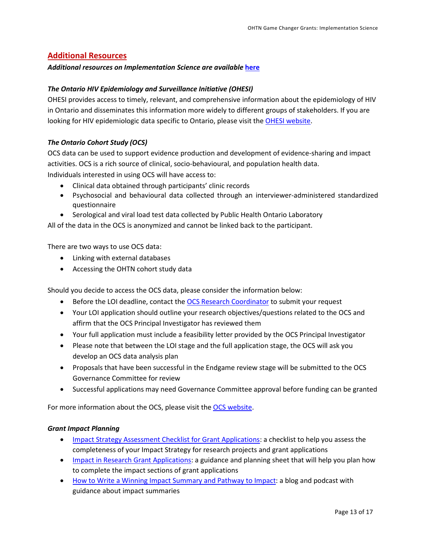## <span id="page-12-0"></span>**Additional Resources**

#### *Additional resources on Implementation Science are available* **[here](http://www.ohtn.on.ca/wp-content/uploads/2019/06/Implementation-Science-Resources-Sept-2019-update.pdf)**

## *The Ontario HIV Epidemiology and Surveillance Initiative (OHESI)*

OHESI provides access to timely, relevant, and comprehensive information about the epidemiology of HIV in Ontario and disseminates this information more widely to different groups of stakeholders. If you are looking for HIV epidemiologic data specific to Ontario, please visit th[e OHESI website.](http://www.ohesi.ca/)

## *The Ontario Cohort Study (OCS)*

OCS data can be used to support evidence production and development of evidence-sharing and impact activities. OCS is a rich source of clinical, socio-behavioural, and population health data. Individuals interested in using OCS will have access to:

- Clinical data obtained through participants' clinic records
- Psychosocial and behavioural data collected through an interviewer-administered standardized questionnaire
- Serological and viral load test data collected by Public Health Ontario Laboratory

All of the data in the OCS is anonymized and cannot be linked back to the participant.

There are two ways to use OCS data:

- Linking with external databases
- Accessing the OHTN cohort study data

Should you decide to access the OCS data, please consider the information below:

- Before the LOI deadline, contact th[e OCS Research Coordinator](mailto:ocsinfo@ohtn.on.ca) to submit your request
- Your LOI application should outline your research objectives/questions related to the OCS and affirm that the OCS Principal Investigator has reviewed them
- Your full application must include a feasibility letter provided by the OCS Principal Investigator
- Please note that between the LOI stage and the full application stage, the OCS will ask you develop an OCS data analysis plan
- Proposals that have been successful in the Endgame review stage will be submitted to the OCS Governance Committee for review
- Successful applications may need Governance Committee approval before funding can be granted

For more information about the OCS, please visit th[e OCS website.](http://ohtncohortstudy.ca/research/#accessing)

#### *Grant Impact Planning*

- [Impact Strategy Assessment Checklist for Grant Applications:](http://researchimpact.ca/wp-content/uploads/2018/08/Impact-Strategy-Assessment-Checklist.pdf) a checklist to help you assess the completeness of your Impact Strategy for research projects and grant applications
- [Impact in Research Grant Applications:](https://www.york.ac.uk/staff/research/research-impact/impact-in-grants/) a guidance and planning sheet that will help you plan how to complete the impact sections of grant applications
- [How to Write a Winning Impact Summary and Pathway to Impact:](https://www.fasttrackimpact.com/post/2017/06/01/how-to-write-an-impact-summary-and-pathway-to-impact) a blog and podcast with guidance about impact summaries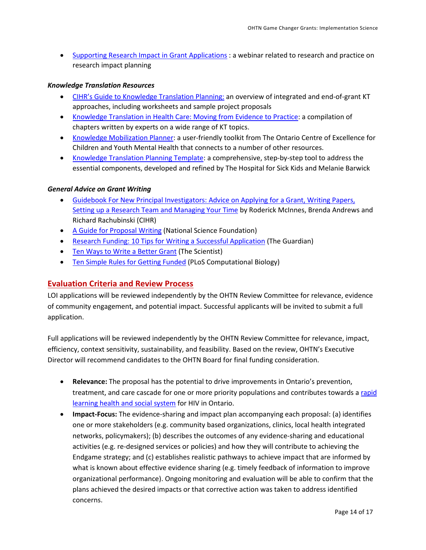• [Supporting Research Impact in Grant Applications](http://researchimpact.ca/supporting-research-impact-in-grant-applications/) : a webinar related to research and practice on research impact planning

## *Knowledge Translation Resources*

- [CIHR's Guide to Knowledge Translation Planning:](http://www.cihr-irsc.gc.ca/e/45321.html) an overview of integrated and end-of-grant KT approaches, including worksheets and sample project proposals
- [Knowledge Translation in Health Care: Moving from Evidence to Practice:](http://www.cihr-irsc.gc.ca/e/40618.html) a compilation of chapters written by experts on a wide range of KT topics.
- [Knowledge Mobilization Planner:](http://www.kmbtoolkit.ca/planning) a user-friendly toolkit from The Ontario Centre of Excellence for Children and Youth Mental Health that connects to a number of other resources.
- [Knowledge Translation Planning Template:](http://www.sickkids.ca/Learning/AbouttheInstitute/Programs/Knowledge-Translation/Resources/Resources.html) a comprehensive, step-by-step tool to address the essential components, developed and refined by The Hospital for Sick Kids and Melanie Barwick

## *General Advice on Grant Writing*

- [Guidebook For New Principal Investigators: Advice on Applying for a Grant, Writing Papers,](http://www.cihr-irsc.gc.ca/e/27491.html#1.5)  [Setting up a Research Team and Managing Your Time](http://www.cihr-irsc.gc.ca/e/27491.html#1.5) by Roderick McInnes, Brenda Andrews and Richard Rachubinski (CIHR)
- [A Guide for Proposal Writing](http://www.nsf.gov/pubs/1998/nsf9891/nsf9891.htm) (National Science Foundation)
- [Research Funding: 10 Tips for Writing a Successful Application](http://www.theguardian.com/higher-education-network/blog/2013/apr/19/tips-successful-research-grant-funding?CMP=twt_gu) (The Guardian)
- **[Ten Ways to Write a Better Grant](http://www.the-scientist.com/?articles.view/articleNo/24622/title/Ten-Ways-to-Write-a-Better-Grant/) (The Scientist)**
- [Ten Simple Rules for Getting Funded](http://journals.plos.org/ploscompbiol/article?id=10.1371/journal.pcbi.0020012) (PLoS Computational Biology)

## <span id="page-13-0"></span>**Evaluation Criteria and Review Process**

LOI applications will be reviewed independently by the OHTN Review Committee for relevance, evidence of community engagement, and potential impact. Successful applicants will be invited to submit a full application.

Full applications will be reviewed independently by the OHTN Review Committee for relevance, impact, efficiency, context sensitivity, sustainability, and feasibility. Based on the review, OHTN's Executive Director will recommend candidates to the OHTN Board for final funding consideration.

- **Relevance:** The proposal has the potential to drive improvements in Ontario's prevention, treatment, and care cascade for one or more priority populations and contributes towards [a rapid](#page-3-3)  [learning health and social system](#page-3-3) for HIV in Ontario.
- **Impact-Focus:** The evidence-sharing and impact plan accompanying each proposal: (a) identifies one or more stakeholders (e.g. community based organizations, clinics, local health integrated networks, policymakers); (b) describes the outcomes of any evidence-sharing and educational activities (e.g. re-designed services or policies) and how they will contribute to achieving the Endgame strategy; and (c) establishes realistic pathways to achieve impact that are informed by what is known about effective evidence sharing (e.g. timely feedback of information to improve organizational performance). Ongoing monitoring and evaluation will be able to confirm that the plans achieved the desired impacts or that corrective action was taken to address identified concerns.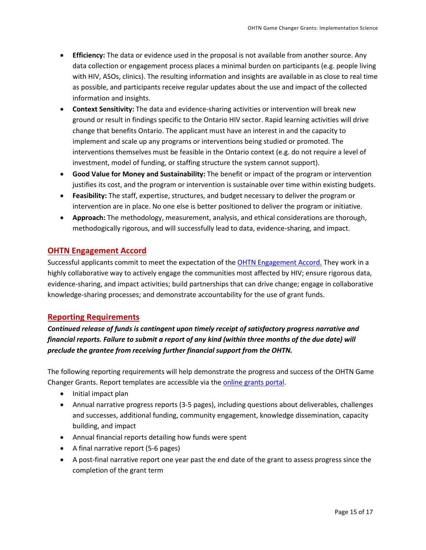- **Efficiency:** The data or evidence used in the proposal is not available from another source. Any data collection or engagement process places a minimal burden on participants (e.g. people living with HIV, ASOs, clinics). The resulting information and insights are available in as close to real time as possible, and participants receive regular updates about the use and impact of the collected information and insights.
- **Context Sensitivity:** The data and evidence-sharing activities or intervention will break new ground or result in findings specific to the Ontario HIV sector. Rapid learning activities will drive change that benefits Ontario. The applicant must have an interest in and the capacity to implement and scale up any programs or interventions being studied or promoted. The interventions themselves must be feasible in the Ontario context (e.g. do not require a level of investment, model of funding, or staffing structure the system cannot support).
- **Good Value for Money and Sustainability:** The benefit or impact of the program or intervention justifies its cost, and the program or intervention is sustainable over time within existing budgets.
- **Feasibility:** The staff, expertise, structures, and budget necessary to deliver the program or intervention are in place. No one else is better positioned to deliver the program or initiative.
- **Approach:** The methodology, measurement, analysis, and ethical considerations are thorough, methodogically rigorous, and will successfully lead to data, evidence-sharing, and impact.

## <span id="page-14-0"></span>**OHTN Engagement Accord**

Successful applicants commit to meet the expectation of the [OHTN Engagement Accord.](http://www.ohtn.on.ca/wp-content/uploads/research-funding/OHTN-Engagement-Accord.pdf) They work in a highly collaborative way to actively engage the communities most affected by HIV; ensure rigorous data, evidence-sharing, and impact activities; build partnerships that can drive change; engage in collaborative knowledge-sharing processes; and demonstrate accountability for the use of grant funds.

## <span id="page-14-1"></span>**Reporting Requirements**

## *Continued release of funds is contingent upon timely receipt of satisfactory progress narrative and financial reports. Failure to submit a report of any kind (within three months of the due date) will preclude the grantee from receiving further financial support from the OHTN.*

The following reporting requirements will help demonstrate the progress and success of the OHTN Game Changer Grants. Report templates are accessible via the [online grants portal.](https://apply-ohtn-on.smapply.io/)

- Initial impact plan
- Annual narrative progress reports (3-5 pages), including questions about deliverables, challenges and successes, additional funding, community engagement, knowledge dissemination, capacity building, and impact
- Annual financial reports detailing how funds were spent
- A final narrative report (5-6 pages)
- A post-final narrative report one year past the end date of the grant to assess progress since the completion of the grant term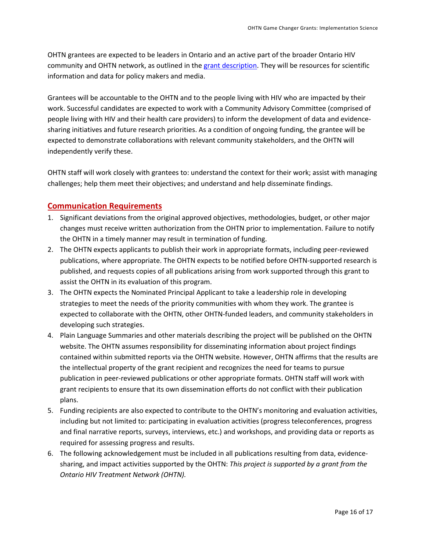OHTN grantees are expected to be leaders in Ontario and an active part of the broader Ontario HIV community and OHTN network, as outlined in the grant [description.](#page-3-1) They will be resources for scientific information and data for policy makers and media.

Grantees will be accountable to the OHTN and to the people living with HIV who are impacted by their work. Successful candidates are expected to work with a Community Advisory Committee (comprised of people living with HIV and their health care providers) to inform the development of data and evidencesharing initiatives and future research priorities. As a condition of ongoing funding, the grantee will be expected to demonstrate collaborations with relevant community stakeholders, and the OHTN will independently verify these.

OHTN staff will work closely with grantees to: understand the context for their work; assist with managing challenges; help them meet their objectives; and understand and help disseminate findings.

## <span id="page-15-0"></span>**Communication Requirements**

- 1. Significant deviations from the original approved objectives, methodologies, budget, or other major changes must receive written authorization from the OHTN prior to implementation. Failure to notify the OHTN in a timely manner may result in termination of funding.
- 2. The OHTN expects applicants to publish their work in appropriate formats, including peer-reviewed publications, where appropriate. The OHTN expects to be notified before OHTN-supported research is published, and requests copies of all publications arising from work supported through this grant to assist the OHTN in its evaluation of this program.
- 3. The OHTN expects the Nominated Principal Applicant to take a leadership role in developing strategies to meet the needs of the priority communities with whom they work. The grantee is expected to collaborate with the OHTN, other OHTN-funded leaders, and community stakeholders in developing such strategies.
- 4. Plain Language Summaries and other materials describing the project will be published on the OHTN website. The OHTN assumes responsibility for disseminating information about project findings contained within submitted reports via the OHTN website. However, OHTN affirms that the results are the intellectual property of the grant recipient and recognizes the need for teams to pursue publication in peer-reviewed publications or other appropriate formats. OHTN staff will work with grant recipients to ensure that its own dissemination efforts do not conflict with their publication plans.
- 5. Funding recipients are also expected to contribute to the OHTN's monitoring and evaluation activities, including but not limited to: participating in evaluation activities (progress teleconferences, progress and final narrative reports, surveys, interviews, etc.) and workshops, and providing data or reports as required for assessing progress and results.
- 6. The following acknowledgement must be included in all publications resulting from data, evidencesharing, and impact activities supported by the OHTN: *This project is supported by a grant from the Ontario HIV Treatment Network (OHTN).*